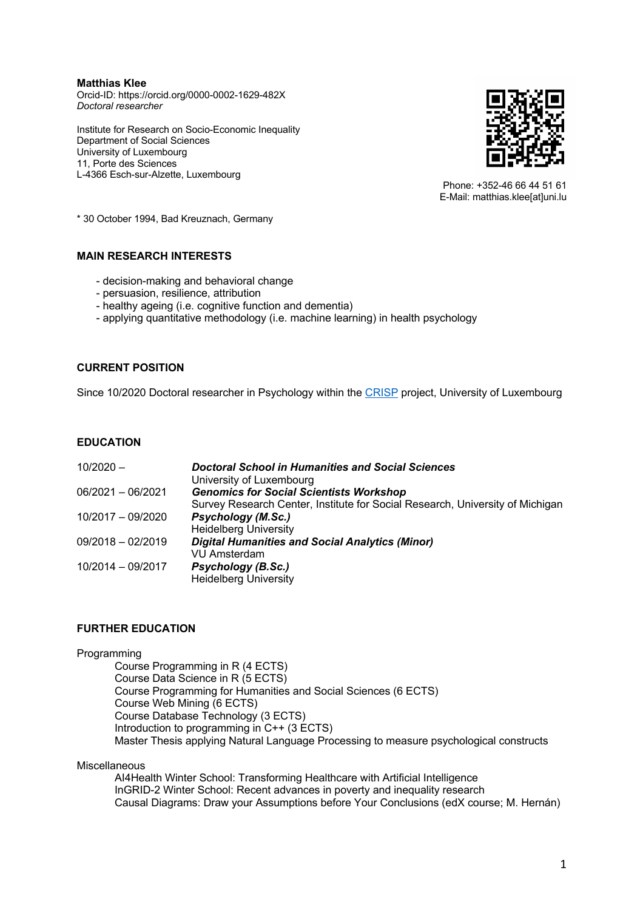**Matthias Klee** Orcid-ID: https://orcid.org/0000-0002-1629-482X *Doctoral researcher*

Institute for Research on Socio-Economic Inequality Department of Social Sciences University of Luxembourg 11, Porte des Sciences L-4366 Esch-sur-Alzette, Luxembourg



Phone: +352-46 66 44 51 61 E-Mail: matthias.klee[at]uni.lu

\* 30 October 1994, Bad Kreuznach, Germany

# **MAIN RESEARCH INTERESTS**

- decision-making and behavioral change
- persuasion, resilience, attribution
- healthy ageing (i.e. cognitive function and dementia)
- applying quantitative methodology (i.e. machine learning) in health psychology

# **CURRENT POSITION**

Since 10/2020 Doctoral researcher in Psychology within the [CRISP](https://cognitiveageing.uni.lu/) project, University of Luxembourg

## **EDUCATION**

| $10/2020 -$         | Doctoral School in Humanities and Social Sciences<br>University of Luxembourg |
|---------------------|-------------------------------------------------------------------------------|
| $06/2021 - 06/2021$ | <b>Genomics for Social Scientists Workshop</b>                                |
|                     | Survey Research Center, Institute for Social Research, University of Michigan |
| 10/2017 - 09/2020   | Psychology (M.Sc.)                                                            |
|                     | <b>Heidelberg University</b>                                                  |
| $09/2018 - 02/2019$ | <b>Digital Humanities and Social Analytics (Minor)</b>                        |
|                     | <b>VU Amsterdam</b>                                                           |
| 10/2014 - 09/2017   | Psychology (B.Sc.)                                                            |
|                     | <b>Heidelberg University</b>                                                  |

# **FURTHER EDUCATION**

### Programming

Course Programming in R (4 ECTS) Course Data Science in R (5 ECTS) Course Programming for Humanities and Social Sciences (6 ECTS) Course Web Mining (6 ECTS) Course Database Technology (3 ECTS) Introduction to programming in C++ (3 ECTS) Master Thesis applying Natural Language Processing to measure psychological constructs

### Miscellaneous

AI4Health Winter School: Transforming Healthcare with Artificial Intelligence InGRID-2 Winter School: Recent advances in poverty and inequality research Causal Diagrams: Draw your Assumptions before Your Conclusions (edX course; M. Hernán)